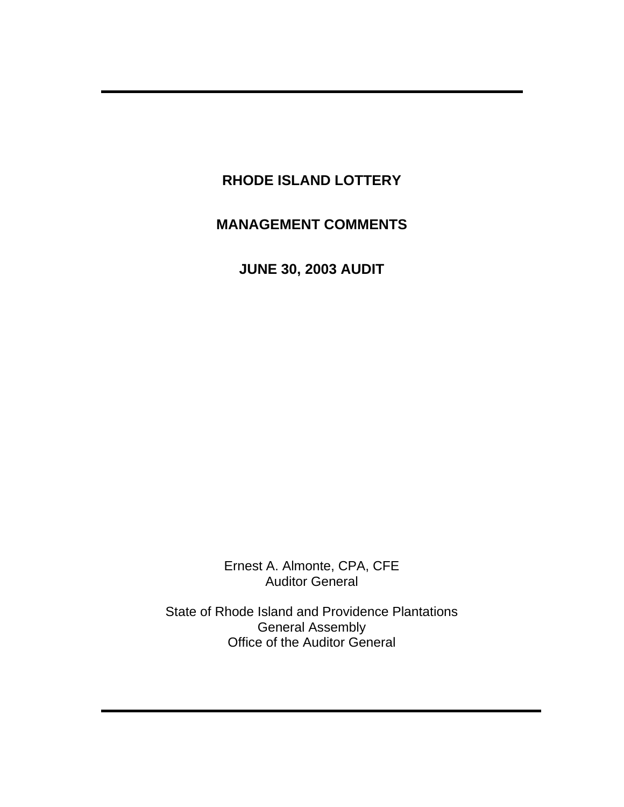# **RHODE ISLAND LOTTERY**

# **MANAGEMENT COMMENTS**

**JUNE 30, 2003 AUDIT** 

Ernest A. Almonte, CPA, CFE Auditor General

State of Rhode Island and Providence Plantations General Assembly Office of the Auditor General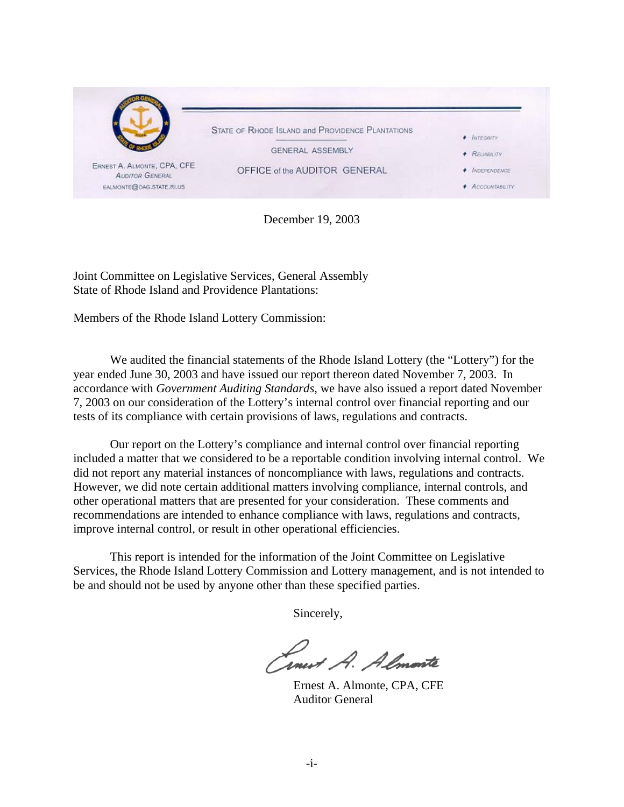

December 19, 2003

Joint Committee on Legislative Services, General Assembly State of Rhode Island and Providence Plantations:

Members of the Rhode Island Lottery Commission:

We audited the financial statements of the Rhode Island Lottery (the "Lottery") for the year ended June 30, 2003 and have issued our report thereon dated November 7, 2003. In accordance with *Government Auditing Standards*, we have also issued a report dated November 7, 2003 on our consideration of the Lottery's internal control over financial reporting and our tests of its compliance with certain provisions of laws, regulations and contracts.

Our report on the Lottery's compliance and internal control over financial reporting included a matter that we considered to be a reportable condition involving internal control. We did not report any material instances of noncompliance with laws, regulations and contracts. However, we did note certain additional matters involving compliance, internal controls, and other operational matters that are presented for your consideration. These comments and recommendations are intended to enhance compliance with laws, regulations and contracts, improve internal control, or result in other operational efficiencies.

This report is intended for the information of the Joint Committee on Legislative Services, the Rhode Island Lottery Commission and Lottery management, and is not intended to be and should not be used by anyone other than these specified parties.

Sincerely,

Linest A. Almonte

 Ernest A. Almonte, CPA, CFE Auditor General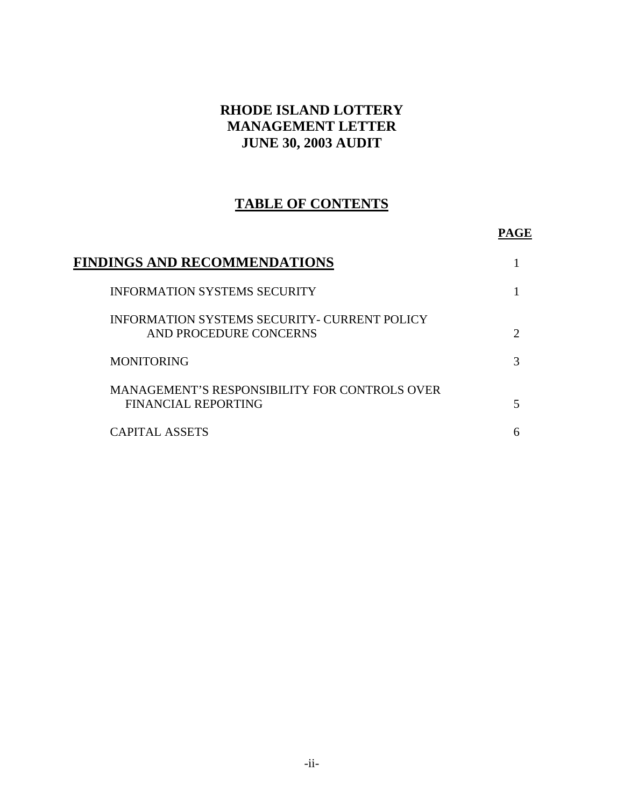# **RHODE ISLAND LOTTERY MANAGEMENT LETTER JUNE 30, 2003 AUDIT**

# **TABLE OF CONTENTS**

#### **PAGE**

| FINDINGS AND RECOMMENDATIONS                                                  |                             |
|-------------------------------------------------------------------------------|-----------------------------|
| <b>INFORMATION SYSTEMS SECURITY</b>                                           |                             |
| <b>INFORMATION SYSTEMS SECURITY- CURRENT POLICY</b><br>AND PROCEDURE CONCERNS | $\mathcal{D}_{\mathcal{L}}$ |
| <b>MONITORING</b>                                                             | 3                           |
| MANAGEMENT'S RESPONSIBILITY FOR CONTROLS OVER<br>FINANCIAL REPORTING          |                             |
| <b>CAPITAL ASSETS</b>                                                         | 6                           |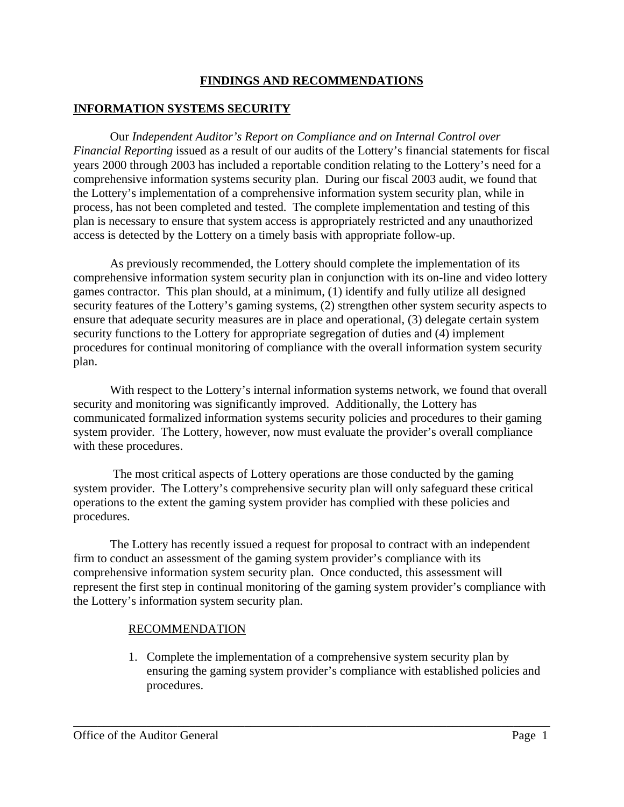## **FINDINGS AND RECOMMENDATIONS**

## **INFORMATION SYSTEMS SECURITY**

Our *Independent Auditor's Report on Compliance and on Internal Control over Financial Reporting* issued as a result of our audits of the Lottery's financial statements for fiscal years 2000 through 2003 has included a reportable condition relating to the Lottery's need for a comprehensive information systems security plan. During our fiscal 2003 audit, we found that the Lottery's implementation of a comprehensive information system security plan, while in process, has not been completed and tested. The complete implementation and testing of this plan is necessary to ensure that system access is appropriately restricted and any unauthorized access is detected by the Lottery on a timely basis with appropriate follow-up.

As previously recommended, the Lottery should complete the implementation of its comprehensive information system security plan in conjunction with its on-line and video lottery games contractor. This plan should, at a minimum, (1) identify and fully utilize all designed security features of the Lottery's gaming systems, (2) strengthen other system security aspects to ensure that adequate security measures are in place and operational, (3) delegate certain system security functions to the Lottery for appropriate segregation of duties and (4) implement procedures for continual monitoring of compliance with the overall information system security plan.

With respect to the Lottery's internal information systems network, we found that overall security and monitoring was significantly improved. Additionally, the Lottery has communicated formalized information systems security policies and procedures to their gaming system provider. The Lottery, however, now must evaluate the provider's overall compliance with these procedures.

 The most critical aspects of Lottery operations are those conducted by the gaming system provider. The Lottery's comprehensive security plan will only safeguard these critical operations to the extent the gaming system provider has complied with these policies and procedures.

The Lottery has recently issued a request for proposal to contract with an independent firm to conduct an assessment of the gaming system provider's compliance with its comprehensive information system security plan. Once conducted, this assessment will represent the first step in continual monitoring of the gaming system provider's compliance with the Lottery's information system security plan.

\_\_\_\_\_\_\_\_\_\_\_\_\_\_\_\_\_\_\_\_\_\_\_\_\_\_\_\_\_\_\_\_\_\_\_\_\_\_\_\_\_\_\_\_\_\_\_\_\_\_\_\_\_\_\_\_\_\_\_\_\_\_\_\_\_\_\_\_\_\_\_\_\_\_\_\_\_\_

#### RECOMMENDATION

1. Complete the implementation of a comprehensive system security plan by ensuring the gaming system provider's compliance with established policies and procedures.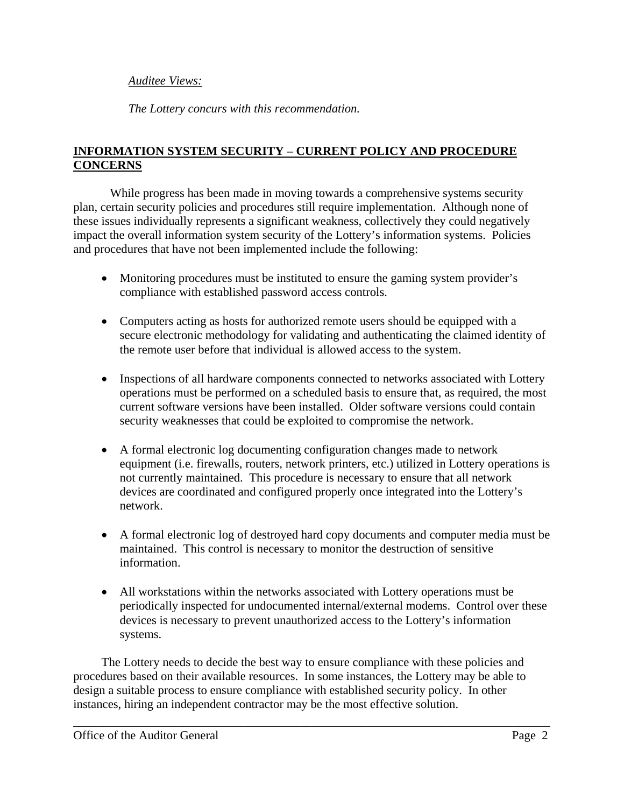#### *Auditee Views:*

*The Lottery concurs with this recommendation.* 

## **INFORMATION SYSTEM SECURITY – CURRENT POLICY AND PROCEDURE CONCERNS**

 While progress has been made in moving towards a comprehensive systems security plan, certain security policies and procedures still require implementation. Although none of these issues individually represents a significant weakness, collectively they could negatively impact the overall information system security of the Lottery's information systems. Policies and procedures that have not been implemented include the following:

- Monitoring procedures must be instituted to ensure the gaming system provider's compliance with established password access controls.
- Computers acting as hosts for authorized remote users should be equipped with a secure electronic methodology for validating and authenticating the claimed identity of the remote user before that individual is allowed access to the system.
- Inspections of all hardware components connected to networks associated with Lottery operations must be performed on a scheduled basis to ensure that, as required, the most current software versions have been installed. Older software versions could contain security weaknesses that could be exploited to compromise the network.
- A formal electronic log documenting configuration changes made to network equipment (i.e. firewalls, routers, network printers, etc.) utilized in Lottery operations is not currently maintained. This procedure is necessary to ensure that all network devices are coordinated and configured properly once integrated into the Lottery's network.
- A formal electronic log of destroyed hard copy documents and computer media must be maintained. This control is necessary to monitor the destruction of sensitive information.
- All workstations within the networks associated with Lottery operations must be periodically inspected for undocumented internal/external modems. Control over these devices is necessary to prevent unauthorized access to the Lottery's information systems.

The Lottery needs to decide the best way to ensure compliance with these policies and procedures based on their available resources. In some instances, the Lottery may be able to design a suitable process to ensure compliance with established security policy. In other instances, hiring an independent contractor may be the most effective solution.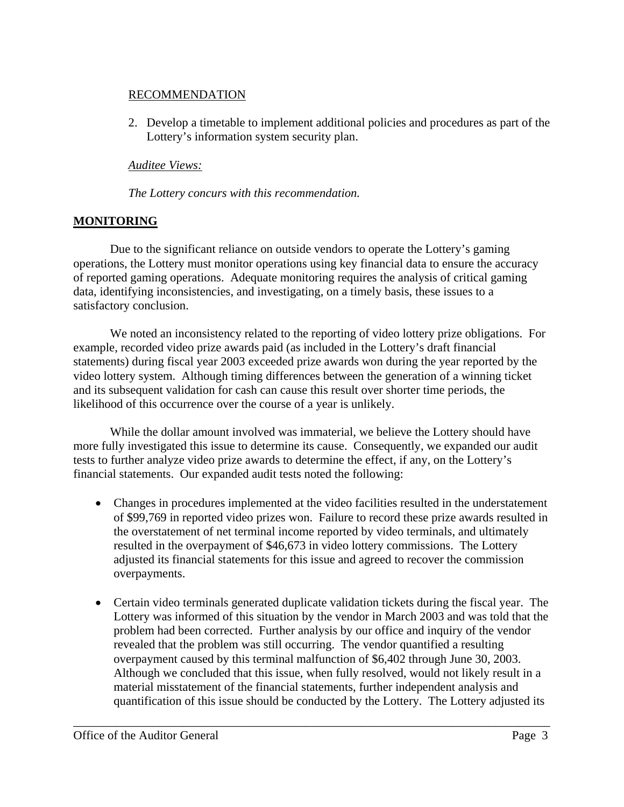#### RECOMMENDATION

2. Develop a timetable to implement additional policies and procedures as part of the Lottery's information system security plan.

# *Auditee Views:*

*The Lottery concurs with this recommendation.*

# **MONITORING**

Due to the significant reliance on outside vendors to operate the Lottery's gaming operations, the Lottery must monitor operations using key financial data to ensure the accuracy of reported gaming operations. Adequate monitoring requires the analysis of critical gaming data, identifying inconsistencies, and investigating, on a timely basis, these issues to a satisfactory conclusion.

We noted an inconsistency related to the reporting of video lottery prize obligations. For example, recorded video prize awards paid (as included in the Lottery's draft financial statements) during fiscal year 2003 exceeded prize awards won during the year reported by the video lottery system. Although timing differences between the generation of a winning ticket and its subsequent validation for cash can cause this result over shorter time periods, the likelihood of this occurrence over the course of a year is unlikely.

While the dollar amount involved was immaterial, we believe the Lottery should have more fully investigated this issue to determine its cause. Consequently, we expanded our audit tests to further analyze video prize awards to determine the effect, if any, on the Lottery's financial statements. Our expanded audit tests noted the following:

- Changes in procedures implemented at the video facilities resulted in the understatement of \$99,769 in reported video prizes won. Failure to record these prize awards resulted in the overstatement of net terminal income reported by video terminals, and ultimately resulted in the overpayment of \$46,673 in video lottery commissions. The Lottery adjusted its financial statements for this issue and agreed to recover the commission overpayments.
- Certain video terminals generated duplicate validation tickets during the fiscal year. The Lottery was informed of this situation by the vendor in March 2003 and was told that the problem had been corrected. Further analysis by our office and inquiry of the vendor revealed that the problem was still occurring. The vendor quantified a resulting overpayment caused by this terminal malfunction of \$6,402 through June 30, 2003. Although we concluded that this issue, when fully resolved, would not likely result in a material misstatement of the financial statements, further independent analysis and quantification of this issue should be conducted by the Lottery. The Lottery adjusted its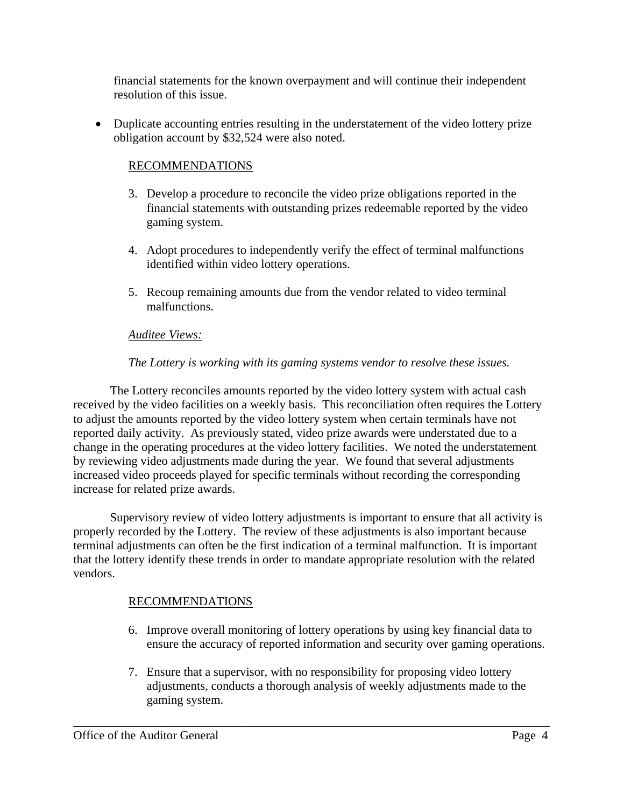financial statements for the known overpayment and will continue their independent resolution of this issue.

• Duplicate accounting entries resulting in the understatement of the video lottery prize obligation account by \$32,524 were also noted.

## RECOMMENDATIONS

- 3. Develop a procedure to reconcile the video prize obligations reported in the financial statements with outstanding prizes redeemable reported by the video gaming system.
- 4. Adopt procedures to independently verify the effect of terminal malfunctions identified within video lottery operations.
- 5. Recoup remaining amounts due from the vendor related to video terminal malfunctions.

## *Auditee Views:*

## *The Lottery is working with its gaming systems vendor to resolve these issues.*

 The Lottery reconciles amounts reported by the video lottery system with actual cash received by the video facilities on a weekly basis. This reconciliation often requires the Lottery to adjust the amounts reported by the video lottery system when certain terminals have not reported daily activity. As previously stated, video prize awards were understated due to a change in the operating procedures at the video lottery facilities. We noted the understatement by reviewing video adjustments made during the year. We found that several adjustments increased video proceeds played for specific terminals without recording the corresponding increase for related prize awards.

 Supervisory review of video lottery adjustments is important to ensure that all activity is properly recorded by the Lottery. The review of these adjustments is also important because terminal adjustments can often be the first indication of a terminal malfunction. It is important that the lottery identify these trends in order to mandate appropriate resolution with the related vendors.

#### RECOMMENDATIONS

- 6. Improve overall monitoring of lottery operations by using key financial data to ensure the accuracy of reported information and security over gaming operations.
- 7. Ensure that a supervisor, with no responsibility for proposing video lottery adjustments, conducts a thorough analysis of weekly adjustments made to the gaming system.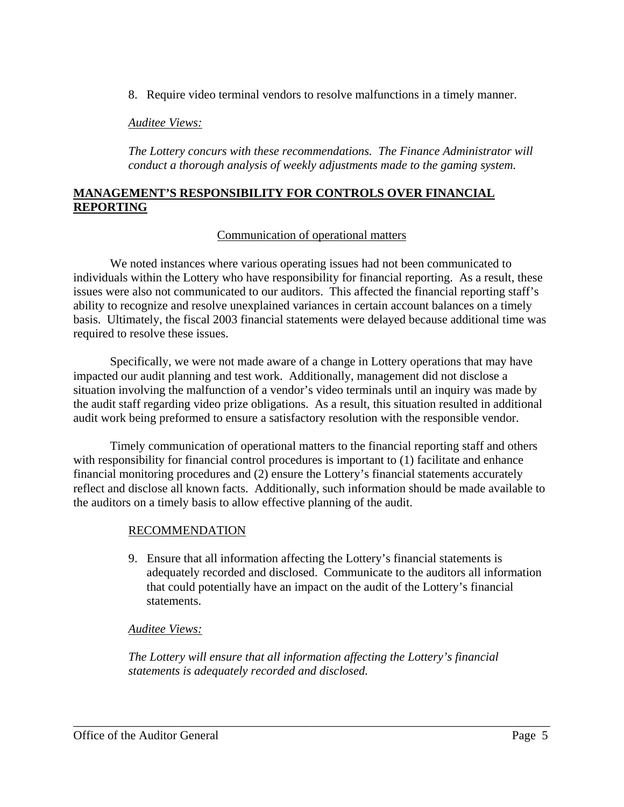8. Require video terminal vendors to resolve malfunctions in a timely manner.

#### *Auditee Views:*

*The Lottery concurs with these recommendations. The Finance Administrator will conduct a thorough analysis of weekly adjustments made to the gaming system.* 

#### **MANAGEMENT'S RESPONSIBILITY FOR CONTROLS OVER FINANCIAL REPORTING**

#### Communication of operational matters

 We noted instances where various operating issues had not been communicated to individuals within the Lottery who have responsibility for financial reporting. As a result, these issues were also not communicated to our auditors. This affected the financial reporting staff's ability to recognize and resolve unexplained variances in certain account balances on a timely basis. Ultimately, the fiscal 2003 financial statements were delayed because additional time was required to resolve these issues.

Specifically, we were not made aware of a change in Lottery operations that may have impacted our audit planning and test work. Additionally, management did not disclose a situation involving the malfunction of a vendor's video terminals until an inquiry was made by the audit staff regarding video prize obligations. As a result, this situation resulted in additional audit work being preformed to ensure a satisfactory resolution with the responsible vendor.

Timely communication of operational matters to the financial reporting staff and others with responsibility for financial control procedures is important to  $(1)$  facilitate and enhance financial monitoring procedures and (2) ensure the Lottery's financial statements accurately reflect and disclose all known facts. Additionally, such information should be made available to the auditors on a timely basis to allow effective planning of the audit.

#### RECOMMENDATION

9. Ensure that all information affecting the Lottery's financial statements is adequately recorded and disclosed. Communicate to the auditors all information that could potentially have an impact on the audit of the Lottery's financial statements.

#### *Auditee Views:*

*The Lottery will ensure that all information affecting the Lottery's financial statements is adequately recorded and disclosed.*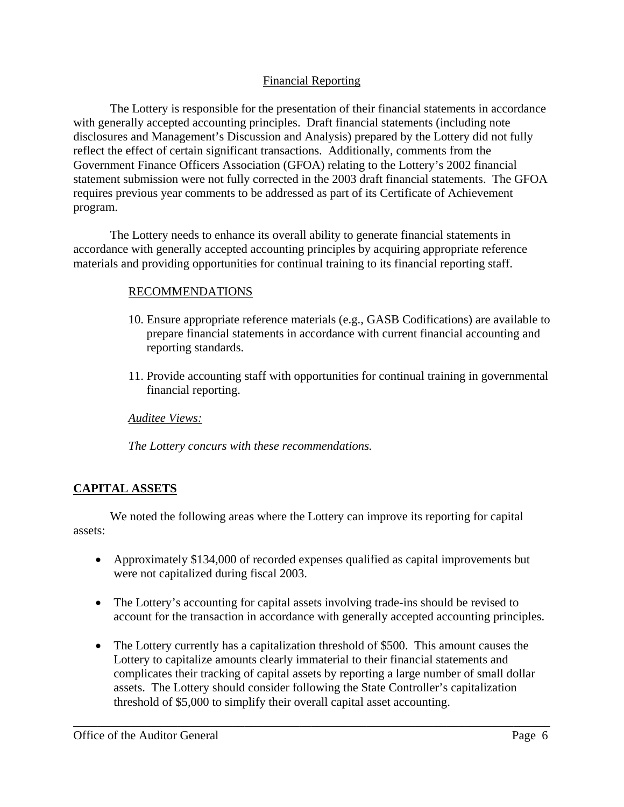## Financial Reporting

The Lottery is responsible for the presentation of their financial statements in accordance with generally accepted accounting principles. Draft financial statements (including note disclosures and Management's Discussion and Analysis) prepared by the Lottery did not fully reflect the effect of certain significant transactions. Additionally, comments from the Government Finance Officers Association (GFOA) relating to the Lottery's 2002 financial statement submission were not fully corrected in the 2003 draft financial statements. The GFOA requires previous year comments to be addressed as part of its Certificate of Achievement program.

The Lottery needs to enhance its overall ability to generate financial statements in accordance with generally accepted accounting principles by acquiring appropriate reference materials and providing opportunities for continual training to its financial reporting staff.

## RECOMMENDATIONS

- 10. Ensure appropriate reference materials (e.g., GASB Codifications) are available to prepare financial statements in accordance with current financial accounting and reporting standards.
- 11. Provide accounting staff with opportunities for continual training in governmental financial reporting.

*Auditee Views:*

*The Lottery concurs with these recommendations.*

# **CAPITAL ASSETS**

 We noted the following areas where the Lottery can improve its reporting for capital assets:

- Approximately \$134,000 of recorded expenses qualified as capital improvements but were not capitalized during fiscal 2003.
- The Lottery's accounting for capital assets involving trade-ins should be revised to account for the transaction in accordance with generally accepted accounting principles.
- The Lottery currently has a capitalization threshold of \$500. This amount causes the Lottery to capitalize amounts clearly immaterial to their financial statements and complicates their tracking of capital assets by reporting a large number of small dollar assets. The Lottery should consider following the State Controller's capitalization threshold of \$5,000 to simplify their overall capital asset accounting.